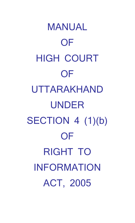MANUAL OF HIGH COURT **OF** UTTARAKHAND UNDER SECTION 4 (1)(b) **OF** RIGHT TO INFORMATION ACT, 2005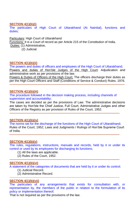# **SECTION 4(1)(b)(i)**

The particulars of High Court of Uttarakhand (At Nainital), functions and duties;

## Particulars: High Court of Uttarakhand

Functions: It is a Court of record as per Article 215 of the Constitution of India. Duties: (1) Administrative,

(2) Judicial.

# **SECTION 4(1)(b)(ii)**

The powers and duties of officers and employees of the High Court of Uttarakhand; Powers and duties of Hon'ble Judges of the High Court: Adjudication and administrative work as per provisions of the law.

Powers & Duties of Officers of the High Court: The officers discharge their duties as per the High Court Officers and Staff (Conditions of Service & Conduct) Rules, 1976. **----------------------------------------------------------------------------------------------------------------**

#### **SECTION 4(1)(b)(iii)**

The procedure followed in the decision making process, including channels of supervision and accountability;

**-----------------------------------------------------------------------------------------------------------**

The cases are decided as per the provisions of Law. The administrative decisions are taken by Hon'ble the Chief Justice, Full Court, Administrative Judges and other Officers of the Registry as per provision of Rules of the Court, 1952.

# **SECTION 4(1)(b)(iv)**

The norms set for the discharge of the functions of the High Court of Uttarakhand; Rules of the Court, 1952; Laws and Judgments / Rulings of Hon'ble Supreme Court of India.

**-----------------------------------------------------------------------------------------------------------**

# **SECTION 4(1)(b)(v)**

The rules, regulations, instructions, manuals and records, held by it or under its control or used by its employees for discharging its functions;

- (1) All the laws are applicable.
- (2) Rules of the Court, 1952. **-----------------------------------------------------------------------------------------------------------**

# **SECTION 4(1)(b)(vi)**

A statement of the categories of documents that are held by it or under its control; (1) Judicial Record.

(2) Administrative Record.

#### **SECTION 4(1)(b)(vii)**

The particulars of any arrangements that exists for consultation with, or representation by, the members of the public in relation to the formulation of its policy or implementation thereof;

-----------------------------------------------------------------------------------------------------------

That is not required as per the provisions of the law.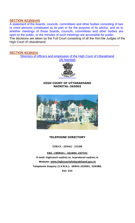# **SECTION 4(1)(b)(viii)**

A statement of the boards, councils, committees and other bodies consisting of two or more persons constituted as its part or for the purpose of its advice, and as to whether meetings of those boards, councils, committees and other bodies are open to the public, or the minutes of such meetings are accessible for public; The decisions are taken by the Full Court consisting of all the Hon'ble Judges of the High Court of Uttarakhand. **-----------------------------------------------------------------------------------------------------------**

# **SECTION 4(1)(b)(ix)**

Directory of officers and employees of the High Court of Uttarakhand (At Nainital)



#### **HIGH COURT OF UTTARAKHAND NAINITAL-263002**



# **TELEPHONE DIRECTORY**

**EPBAX : (05942) - 235388**

**FAX : (05942) - 231692, 237721 E-mail: highcourt-ua@nic.in, [hcprotocol-ua@nic.in](mailto:hcprotocol-ua@nic.in)  Website: [www.highcourto](http://www.highcourt/)futtarakhand.gov.in Telephonic Enquiry (I.V.R.S.): 05942-233501, 235388, Ext: 222**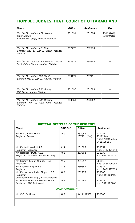# **HON'BLE JUDGES, HIGH COURT OF UTTARAKHAND**

| <b>Name</b>                                                                    | <b>Office</b> | <b>Residence</b> | Fax                    |
|--------------------------------------------------------------------------------|---------------|------------------|------------------------|
| Hon'ble Mr. Justice K.M. Joseph,<br>Chief Justice,                             | 231691        | 231694           | 231691(0)<br>231694(R) |
| Brooke Hill Lodge, Mallital, Nainital                                          |               |                  |                        |
|                                                                                |               |                  |                        |
| Hon'ble Mr. Justice V.K. Bist,<br>Cottage No. 1, C.D.O. Block, Mallital,       | 232775        | 232774           |                        |
| Nainital                                                                       |               |                  |                        |
|                                                                                |               |                  |                        |
| Hon'ble Mr. Justice Sudhanshu Dhulia,<br>Behind Pant Sadan, Mallital, Nainital | 232511        | 235548           |                        |
|                                                                                |               |                  |                        |
|                                                                                |               |                  |                        |
| Hon'ble Mr. Justice Alok Singh,<br>Bunglow No. 2, C.D.O., Mallital, Nainital   | 239171        | 237151           |                        |
|                                                                                |               |                  |                        |
|                                                                                |               |                  |                        |
| Hon'ble Mr. Justice S.K. Gupta,<br>Oak Park, Mallital, Nainital                | 231695        | 231693           | --                     |
|                                                                                |               |                  |                        |
| Hon'ble Mr. Justice U.C. Dhyani,                                               | 233361        | 233362           |                        |
| Bunglow No. 2, Oak Park, Mallital,<br>Nainital                                 |               |                  |                        |

| <b>JUDICIAL OFFICERS OF THE REGISTRY</b>                                            |          |                        |                                                        |  |
|-------------------------------------------------------------------------------------|----------|------------------------|--------------------------------------------------------|--|
| <b>Name</b>                                                                         | PBX-Ext. | <b>Office</b>          | <b>Residence</b>                                       |  |
| Mr. D.P.Gairola, H.J.S.<br>Registrar General                                        | 400      | 232085<br>237721 (Fax) | 231721<br>231721(Fax)<br>Mob.9760455056,<br>9411108181 |  |
| Mr. Kanta Prasad, H.J.S.<br>Registrar (Vigilance)                                   | 414      | 231696                 | 233057<br>Mob. 9412071044                              |  |
| Mr. Narender Dutt, H.J.S.<br>Registrar (Judicial-cum-Inspection)                    | 401      | 233802                 | 231239<br>Mob.9411107776                               |  |
| Mr. Rajeev Kumar Khulbe, H.J.S.<br>Registrar                                        | 415      | 231617                 | 261618<br>Mob. 9456596066                              |  |
| Mr. Shanker Raj, H.J.S.<br>Registrar                                                | 416      | 239655                 | 233377<br>Mob. 9456597003                              |  |
| Mr. Kanwar Amninder Singh, H.J.S.<br>Registrar<br>(Management/Comp./Infrastructure) | 402      | 232276                 | 233803<br>Mob.9411108402                               |  |
| Mr. Bharat Bhushan Pandey, H.J.S.<br>Registrar (ADR & Accounts)                     | 403      | 231690                 | 233819<br>Mob.9411107769                               |  |
| <b>JOINT REGISTRAR</b>                                                              |          |                        |                                                        |  |
| Mr. V.C. Barthwal                                                                   | 405      | 9411107532             | 232803                                                 |  |
|                                                                                     |          |                        |                                                        |  |

 $\overline{1}$ 

٦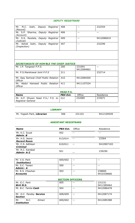| <b>DEPUTY REGISTRARS</b>                                |                  |                            |            |  |  |  |
|---------------------------------------------------------|------------------|----------------------------|------------|--|--|--|
|                                                         |                  |                            |            |  |  |  |
| M.C. Joshi, Deputy Registrar<br>Mr.                     | 408              | $- -$                      | 232354     |  |  |  |
| (Record)                                                |                  |                            |            |  |  |  |
| Mr. S.P. Sharma, Deputy Registrar                       | 406              | $\overline{\phantom{m}}$   | $-$        |  |  |  |
| (Account)                                               |                  |                            |            |  |  |  |
| Mr. S.S. Rautela, Deputy Registrar                      | 409              | $- -$                      | 9412086819 |  |  |  |
| (Judicial)                                              |                  |                            |            |  |  |  |
| Mr. Ashok Joshi, Deputy Registrar                       | 407              | $\overline{\phantom{a}}$ . | 232296     |  |  |  |
| (Inspection)                                            |                  |                            |            |  |  |  |
|                                                         |                  |                            |            |  |  |  |
|                                                         |                  |                            |            |  |  |  |
|                                                         |                  |                            |            |  |  |  |
|                                                         |                  |                            |            |  |  |  |
|                                                         |                  |                            |            |  |  |  |
| <b>SECRETARIATE OF HON'BLE THE CHIEF JUSTICE</b>        |                  |                            |            |  |  |  |
| Mr. J.P. Tangwan P.P.S.                                 | 200              | 231691                     | $- -$      |  |  |  |
|                                                         |                  | 9412084862                 |            |  |  |  |
| Mr. P.S.Mandrawal Joint P.P.S                           | 211              |                            | 232714     |  |  |  |
|                                                         |                  |                            |            |  |  |  |
|                                                         | 410              | 9412084500                 |            |  |  |  |
| Mr. Ajay Semwal Chief Public Relation<br><b>Officer</b> |                  |                            |            |  |  |  |
|                                                         |                  |                            |            |  |  |  |
| Mr. Abdul Hameed Public Relation                        | 411              | 9411107534                 |            |  |  |  |
| <b>Officer</b>                                          |                  |                            |            |  |  |  |
|                                                         |                  |                            |            |  |  |  |
|                                                         | <b>HEAD P.S.</b> |                            |            |  |  |  |
| <b>Name</b>                                             | PBX-Ext.         | Office                     | Residence  |  |  |  |
| Mr. G.P. Dhyani Head P.S./ P.S. to                      | 212              |                            |            |  |  |  |
| Registrar General                                       |                  | 232085                     | 233071     |  |  |  |

|                            | <i><b>LIBRARY</b></i> |        |            |
|----------------------------|-----------------------|--------|------------|
| Mr. Yogesh Pant, Librarian | 506                   | 231101 | 9412109549 |

#### **ASSISTANT REGISTRARS**

| <b>Name</b>                          | PBX-Ext. | Office | Residence  |
|--------------------------------------|----------|--------|------------|
| Mr. K.C. Suyal<br>Admin, B           | 502      |        |            |
| Mr. H.S. Jeena<br><b>Record Room</b> | 613/614  | $ -$   | 23364      |
| Mr. C.S. Adhikari<br><b>Criminal</b> | 610/611  | $ -$   | 9410907183 |
| Mr. R.C. Kandpal<br>Admin-A-2        | 501      | --     | 239290     |

| Mr. V.S. Pant             | 600/602                 |            |
|---------------------------|-------------------------|------------|
| Institution)              |                         |            |
| Mr. S.C. Tewari           | 500                     |            |
| Admin-A                   |                         |            |
| Mr. R.S. Chauhan          | 503                     | 238800     |
| <b>Accounts</b>           |                         | 9410338666 |
|                           |                         |            |
|                           | <b>SECTION OFFICERS</b> |            |
| Mr. G.C. Pant             | 605                     | 231231     |
| Writ M.S.                 |                         | 9411589464 |
| Mr. B.C. Tamta Cash       | 504                     | 9412086478 |
|                           |                         |            |
| Mr. H.C. Pandey Service   | 608/609                 | 9412087174 |
| <b>Section</b>            |                         |            |
| N.C.<br>Kimari<br>Mr.     | 600/602                 | 9412085388 |
| <i><b>Institution</b></i> |                         |            |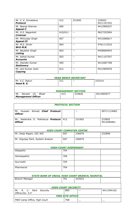| Mr. V. K. Srivastava<br><b>Protocol</b>                 | 412                       | 231692 | 239263<br>9411107252 |  |  |  |
|---------------------------------------------------------|---------------------------|--------|----------------------|--|--|--|
| Mr. Neeraj Sharma                                       | 606                       |        | 9412906537           |  |  |  |
| Appeal-I                                                |                           |        |                      |  |  |  |
| Mr. G.S. Nagarkoti<br><b>Criminal</b>                   | 610/611                   | $-$    | 9627252904           |  |  |  |
| Mr. Mirtunjay Singh<br><b>Appeal-II</b>                 | 607                       | $- -$  | 9412086817           |  |  |  |
| Mr. M.S. Sirohi<br>Writ M.B.                            | 604                       |        | 9761113310           |  |  |  |
| Mr. Naubhar Singh<br>Listing                            | 603                       | $-$    | 9458084943           |  |  |  |
| Mr. Ashok Kumar<br><b>Accounts</b>                      | 503                       | $- -$  | 9411107357           |  |  |  |
| Mr. Jitander Kumar<br><b>Stationery</b>                 | 505                       | $-$    | 9412087708           |  |  |  |
| Mr. Anil Kumar Joshi<br>Copying                         | 612                       | $- -$  | 9412905976           |  |  |  |
| <b>HEAD BENCH SECRETARY</b>                             |                           |        |                      |  |  |  |
| Mr. V.C. Raturi<br>Head B. S.                           | 211                       |        | 233314               |  |  |  |
|                                                         | <b>MANAGEMENT SECTION</b> |        |                      |  |  |  |
| Ch. Bhatt<br>Naveen<br>Mr.<br><b>Management Officer</b> | 413                       | 233826 | 9412905977           |  |  |  |

| <b>PROTOCOL SECTION</b>                                          |                              |        |                      |  |  |
|------------------------------------------------------------------|------------------------------|--------|----------------------|--|--|
| Mr. Hussain Ahmed Chief Protocol<br><b>Officer</b>               |                              | $-$    | 09711119483          |  |  |
| Mr. Jeetendra S. Pokhariya Protocol<br><b>Officer</b>            | 412                          | 231692 | 233855<br>9412084861 |  |  |
| <b>HIGH COURT COMPUTER CENTRE</b>                                |                              |        |                      |  |  |
| Mr. Deep Nigam, OIC-NIC                                          | 507                          | 236679 | 232898               |  |  |
| Mr. Digvijay Pant, System Analyst                                | 507                          | 236679 |                      |  |  |
|                                                                  | <b>HIGH COURT DISPENSARY</b> |        |                      |  |  |
| Allopathic                                                       | 704                          |        |                      |  |  |
| Homeopathic                                                      | 706                          |        |                      |  |  |
| Ayurvedic                                                        | 705                          |        |                      |  |  |
| Pharmacist                                                       | 704                          |        |                      |  |  |
| STATE BANK OF INDIA, HIGH COURT BRANCH, NAINITAL                 |                              |        |                      |  |  |
| <b>Branch Manager</b>                                            | 701                          | 233523 |                      |  |  |
| <b>HIGH COURT SECURITY</b>                                       |                              |        |                      |  |  |
| $R_{\rm}$<br>$C_{1}$<br>Pant Security<br>Mr.<br>Officer/Dy. S.P. | 800                          |        | 9411594102           |  |  |
|                                                                  | <b>PWD SITE OFFICE</b>       |        |                      |  |  |
| PWD Camp Office, High Court                                      | 708                          |        | $ -$                 |  |  |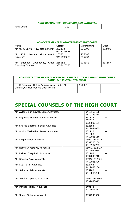| <b>POST OFFICE, HIGH COURT BRANCH, NAINITAL</b> |     |  |
|-------------------------------------------------|-----|--|
| Post Office                                     | 702 |  |

r

| <b>ADVOCATE GENERAL/GOVERNMENT ADVOCATES</b>               |                      |                  |        |  |  |
|------------------------------------------------------------|----------------------|------------------|--------|--|--|
| Name                                                       | <b>Office</b>        | <b>Residence</b> | Fax    |  |  |
| Mr. U. K. Uniyal, Advocate General                         | 232498<br>9412085488 | 235393           | 232499 |  |  |
| Mr. K.S. Rautela,<br>Government  <br>Advocate              | 233751<br>9411196688 | 236688<br>235254 |        |  |  |
| Chief<br>Mr. Subhash Upadhayay,<br><b>Standing Counsel</b> | 238582<br>9837423377 | 236348           | 235687 |  |  |

| ADMINISTRATOR GENERAL/OFFICIAL TRUSTEE, UTTARAKHAND HIGH COURT<br><b>CAMPUS, NAINITAL STD:05942</b> |        |        |  |
|-----------------------------------------------------------------------------------------------------|--------|--------|--|
| Mr. D.P.Gairola, H.J.S. Administrator<br>General/Official Trustee Uttarakhand                       | 238146 | 233067 |  |

| Mr. Avtar Singh Rawat, Senior Advocate |       | 9410169128<br>9810169818                 |       |
|----------------------------------------|-------|------------------------------------------|-------|
| Mr. Rajendra Dobhal, Senior Advocate   | $-$   | 231812<br>232812<br>9837002131           | $-$   |
| Mr. Sharad Sharma, Senior Advocate     | $ -$  | 232384<br>9412084035                     |       |
| Mr. Arvind Vashistha, Senior Advocate  | $- -$ | 232110<br>231008<br>9412085110           | $- -$ |
| Mr. Lokpal Singh, Advocate             |       | 05942-232222<br>9837205109<br>9412982763 |       |
| Mr. Ramji Srivastava, Advocate         |       | 05942-232727<br>9412084055               |       |
| Mr. Rakesh Thapliyal, Advocate         | $- -$ | 232192<br>9837048218                     | $- -$ |
| Mr. Nandan Arya, Advocate              |       | 05942-232326<br>9412085326               |       |
| Mr. D.S. Patni, Advocate               | $- -$ | 232444<br>9412037136                     | $- -$ |
| Mr. Sidharat Sah, Advocate             | $- -$ | 235280<br>9412084280                     | $- -$ |
| Ms. Menka Tripathi, Advocate           |       | 05942-235569<br>9837088013               |       |
| Mr. Pankaj Miglani, Advocate           | $- -$ | 240144<br>9412906817                     | $- -$ |
| Mr. Shobit Saharia, Advocate           | $- -$ | 9837249350                               | $-$   |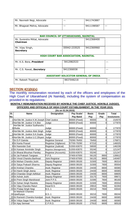| Mr. Navnesh Negi, Advocate  | $- -$ | 9411743887 |       |
|-----------------------------|-------|------------|-------|
| Mr. Bhagwat Mehra, Advocate | $- -$ | 9411198587 | $- -$ |

|                                             | <b>BAR COUNCIL OF UTTARAKHAND, NAINITAL</b> |            |  |  |  |  |
|---------------------------------------------|---------------------------------------------|------------|--|--|--|--|
| Mr. Surendra Mittal, Advocate<br>Chairman   |                                             | 9412368400 |  |  |  |  |
| Mr. Vijay Singh,<br><b>Secretary</b>        | 05942-233525                                | 9412369960 |  |  |  |  |
| HIGH COURT BAR ASSOCIATION, NAINITAL        |                                             |            |  |  |  |  |
| Mr. K.S. Bora, President                    | 9412982533                                  |            |  |  |  |  |
| Mr. C.S. Rawat, Secretary                   | 9412306938                                  |            |  |  |  |  |
| <b>ASSISTANT SOLICITOR GENERAL OF INDIA</b> |                                             |            |  |  |  |  |
| Mr. Rakesh Thapliyal                        | 9837048218                                  |            |  |  |  |  |

#### **SECTION 4(1)(b)(x)**

The monthly remuneration received by each of the officers and employees of the High Court of Uttarakhand (At Nainital), including the system of compensation as provided in its regulations;

**MONTHLY REMUNERATION RECEIVED BY HON'BLE THE CHIEF JUSTICE, HON'BLE JUDGES, OFFICERS AND OFFICIALS OF HIGH COURT ESTABLISHMENT, IN THE YEAR 2015.**

|     | (As on 01.04.2015)                              |                        |                 |              |          |                   |
|-----|-------------------------------------------------|------------------------|-----------------|--------------|----------|-------------------|
| SI. | <b>Name</b>                                     | <b>Designation</b>     | Pay Scale/      | <b>Basic</b> | Grade    | <b>Total</b>      |
| No. |                                                 |                        | <b>Pay Band</b> | Pay          | Pay      | <b>Emoluments</b> |
|     | 1 Hon'ble Mr. Justice K.M. Joseph Chief Justice |                        | 90000 (Fixed)   | 90000        | 0        | 210570            |
|     | 2Hon'ble Mr. Justice V.K. Bist                  | Judge                  | 80000 (Fixed)   | 80000        | 0        | 177870            |
|     | Hon'ble Mr. Justice Sudhanshu                   |                        |                 |              |          |                   |
|     | 3Dhulia                                         | Judge                  | 80000 (Fixed)   | 80000        | 0        | 177870            |
|     | 4 Hon'ble Mr. Justice Alok Singh                | Judge                  | 80000 (Fixed)   | 80000        | 0        | 177870            |
|     | 5Hon'ble Mr. Justice S.K. Gupta                 | Judge                  | 80000 (Fixed)   | 80000        | 0        | 177870            |
|     | 6Hon'ble Mr. Justice U.C.Dhyani Judge           |                        | 80000 (Fixed)   | 80000        | 0        | 177870            |
|     | 7Sri D.P.Gairola                                | Registrar General      | 70290-76450     | 76450        | 0        | 176871            |
|     | 8Sri Kanta Prasad                               | Registrar (Vigilance)  | 57700-70290     | 67210        | 0        | 146025            |
|     | 9Sri Narender Dutt                              | Registrar (Judicial)   | 51550-63070     | 58930        | 0        | 146239            |
|     | 10Sri Kanwar Amninder Singh                     | Registrar (Management) | 51550-63070     | 55240        | $\Omega$ | 121247            |
|     | 11 Sri Bharat Bhushan Pandey                    | Registrar (Accounts)   | 51550-63070     | 55240        | $\Omega$ | 121247            |
|     | 12Sri Jai Prakash Tangwan                       | P.P.S.                 | 37400-67000     | 56120        | 8900     | 139912            |
|     | 13 Sri Vinod Chandra Barthwal                   | Joint Registrar        | 37400-67000     | 56120        | 8900     | 140497            |
|     | 14 Sri Mohan Chandra Joshi                      | Deputy Registrar       | 15600-39100     | 31500        | 7600     | 86314             |
|     | 15 Sri Satya Prakash Sharma                     | Deputy Registrar       | 15600-39100     | 31500        | 7600     | 85554             |
|     | 16Sri Krishan Chandra                           | Asstt. Registrar       | 15600-39100     | 24430        | 6600     | 68365             |
|     | 17 Sri Harsh Singh Jeena                        | Asstt. Registrar       | 15600-39100     | 24430        | 6600     | 68365             |
|     | 18 Sri Chandan Singh Adhikari                   | Asstt. Registrar       | 15600-39100     | 24430        | 6600     | 68605             |
|     | 19Sri Ashok Joshi                               | Deputy Registrar       | 15600-39100     | 33170        | 7600     | 89671             |
|     | 20 Sri Prem Singh Mandrawal                     | Joint P.P.S.           | 15600-39100     | 31590        | 7600     | 86160             |
|     | 21 Sri Sohan Singh Rautela                      | Deputy Registrar       | 15600-39100     | 31500        | 7600     | 85554             |
|     | 22 Sri Vijay Chandra Raturi                     | Head B.S.              | 15600-39100     | 29910        | 7600     | 82263             |
|     | 23 Sri Pratap Singh Negi                        | $B.S.-1$               | 15600-39100     | 30210        | 7600     | 83544             |
|     | Sri Mahesh Chandra<br>24 Upadhyaya              | $B.S.-1$               | 15600-39100     | 30210        | 7600     | 89244             |
|     | 25 Sri Ramesh Chandra Kandpal                   | Asstt. Registrar       | 15600-39100     | 24430        | 6600     | 68365             |
|     | 26 Sri Vidya Sagar Pant                         | Asstt. Registrar       | 15600-39100     | 24430        | 6600     | 68365             |
|     | 27 Sri Ajay Semwal                              | C.P.R.O.               | 15600-39100     | 27910        | 6600     | 80519             |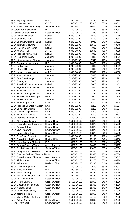| 28 Sri Tej Singh Kharola                | $B.S.-1$               | 15600-39100 | 29350 | 7600 | 86854 |
|-----------------------------------------|------------------------|-------------|-------|------|-------|
| 29 Sri Husain Ahmed                     | C.P.O.                 | 15600-39100 | 27910 | 6600 | 80519 |
| 30 Sri Harish Chandra Pandey            | <b>Section Officer</b> | 15600-39100 | 19820 | 5400 | 56498 |
| 31 Surendra Singh Gusain                | $B.S.-1$               | 15600-39100 | 21380 | 6600 | 62052 |
| 32 Naveen Chandra Kimari                | <b>Section Officer</b> | 15600-39100 | 21230 | 5400 | 59417 |
| 33 Sri Mahesh Prakash                   | Daftari                | 5200-20200  | 9550  | 2000 | 26256 |
| 34 Sri Shambhu Ram                      | Daftari                | 5200-20200  | 9490  | 2800 | 28384 |
| 35 Sri Bhuwan Chandra Pathak            | Daftari                | 5200-20200  | 8030  | 2400 | 24311 |
| 36 Sri Tarawan Goswami                  | Driver                 | 5200-20200  | 10550 | 2800 | 30649 |
| 37 Sri Naresh Singh Rawat               | Daftari                | 5200-20200  | 7880  | 2400 | 23861 |
| 38 Sri Kunwar Ram                       | A.R.O.                 | 9300-34800  | 13590 | 4600 | 40858 |
| 39 Sri Pradeep Kumar Arya               | Daftari                | 5200-20200  | 7880  | 2400 | 23861 |
| 40 Sri Ram Milan Yadav                  | Jamadar                | 5200-20200  | 7880  | 2400 | 23861 |
| 41 Sri Virendra Kumar Sharma            | Jamadar                | 5200-20200  | 7540  | 1900 | 20830 |
| 42 Sri Rajnarayan Kushwaha              | R.O.                   | 9300-34800  | 14470 | 4800 | 43058 |
| 43Sri Pratap Ram                        | Jamadar                | 5200-20200  | 7880  | 2400 | 23991 |
| 44 Sri Shiv Lal Sharma                  | Jamadar                | 5200-20200  | 7880  | 2400 | 22861 |
| 45 Sri Krishna Kumar Yadav              | A.R.O.                 | 9300-34800  | 13590 | 4600 | 40858 |
| 46 Sri Nand Lal Sahu                    | Jamadar                | 5200-20200  | 7820  | 1900 | 22409 |
| 47 Sri Sant Ram Maurya                  | Peon                   | 5200-20200  | 7670  | 1900 | 21229 |
| 48 Sri Ram Ajor                         | Jamadar                | 5200-20200  | 7820  | 1900 | 22409 |
| 49 Sri Jitendra Kumar Chaturvedi        | Daftari                | 5200-20200  | 7820  | 1900 | 22409 |
| 50 Sri Jagdish Prasad Nishad            | Jamadar                | 5200-20200  | 7820  | 1900 | 22409 |
| 51 Sri Sahib Das Nishad                 | Jamadar                | 5200-20200  | 7820  | 1900 | 22589 |
| 52Sri Sukh Dev Singh Rawat              | Jamadar                | 5200-20200  | 7820  | 1900 | 22409 |
| 53 Sri Puran Chandra Mathpal            | Peon                   | 5200-20200  | 7670  | 1900 | 22229 |
| 54 Sri Subas Chandra                    | Jamadar                | 5200-20200  | 7820  | 1900 | 22409 |
| 55 Sri Kripal Singh Taragi              | <b>Driver</b>          | 5200-20200  | 9210  | 2400 | 25624 |
| 56 Sri Pradeep Chandra Naugain          | <b>Driver</b>          | 5200-20200  | 9210  | 2400 | 26624 |
| 57 Sri Bhim Nath Gusain                 | <b>Driver</b>          | 5200-20200  | 9210  | 2400 | 26814 |
| 58 Sri Hukum Singh Jagwan               | Driver                 | 5200-20200  | 9210  | 2400 | 26814 |
| 59Sri Krishana Chandra                  | <b>Driver</b>          | 5200-20200  | 9200  | 2400 | 26793 |
| 60 Sri Pradeep Bandhavkar               | $B.S.-II$              | 15600-39100 | 17830 | 5400 | 51799 |
| 61 Sri Atulya Mani Tripathi             | <b>Review Officer</b>  | 15600-39100 | 17870 | 5400 | 51688 |
| 62 Sri Rajesh Kumar Srivastava          | <b>Review Officer</b>  | 15600-39100 | 17870 | 5400 | 55738 |
| 63 Sri Anurag Katiyar                   | <b>Review Officer</b>  | 15600-39100 | 17870 | 5400 | 51688 |
| 64 Sri Vivek Agarwal                    | <b>Review Officer</b>  | 15600-39100 | 17870 | 5400 | 51688 |
| 65 Sri Sanjeev Rao Bhatt                | <b>Review Officer</b>  | 15600-39100 | 17870 | 5400 | 55738 |
| 66 Sri Deb Singh Adhikari               | <b>Driver</b>          | 9300-34800  | 11180 | 4200 | 34669 |
| 67 Sri Govind Ballabh Pandey            | <b>Review Officer</b>  | 15600-39100 | 17190 | 5400 | 50700 |
| 68 Sri Navin Chandra Melkani            | P.S.                   | 15600-39100 | 30210 | 7600 | 83304 |
| 69 Sri Suresh Chandra Tiwari            | Asstt. Registrar       | 15600-39100 | 24430 | 6600 | 73735 |
| 70 Sri Girish Chandra Pant              | <b>Section Officer</b> | 15600-39100 | 21420 | 6600 | 67834 |
| 71 Sri Vinay Kumar Srivastava           | <b>Section Officer</b> | 15600-39100 | 18360 | 5400 | 53356 |
| 72 Sri Chandra Prakash Chaudhari B.S.-1 |                        | 15600-39100 | 29350 | 7600 | 87084 |
| 73 Sri Rajendra Singh Chauhan           | Asstt. Registrar       | 15600-39100 | 24430 | 6600 | 73315 |
| 74 Sri Abdul Hamid                      | <b>Section Officer</b> | 15600-39100 | 21270 | 6600 | 66974 |
| 75 Sri Indra Bhan                       | <b>Review Officer</b>  | 15600-39100 | 17190 | 5400 | 50280 |
| 76Sri Dinesh Singh Bisht                | <b>B.S.-1</b>          | 15600-39100 | 20600 | 6600 | 60977 |
| 77 Sri Roop Ram Bhatt                   | $B.S.-1$               | 15600-39100 | 20600 | 6600 | 60437 |
| 78 Sri Mritunjay Singh                  | <b>Section Officer</b> | 15600-39100 | 18360 | 5400 | 52936 |
| 79 Sri Moolendra Singh Sirohi           | <b>Section Officer</b> | 15600-39100 | 18360 | 5400 | 52936 |
| 80 Sri Anil Kumar Joshi                 | <b>Section Officer</b> | 15600-39100 | 18360 | 5400 | 52936 |
| 81 Sri Neeraj Sharma                    | <b>Section Officer</b> | 15600-39100 | 18360 | 5400 | 52936 |
| 82 Sri Gopal Singh Nagarkoti            | <b>Section Officer</b> | 15600-39100 | 18360 | 5400 | 52936 |
| 83 Sri Naubhar Singh                    | <b>Section Officer</b> | 15600-39100 | 18360 | 5400 | 52936 |
| 84 Sri Banshidhar Pandey                | $B.S.-II$              | 15600-39100 | 17830 | 5400 | 56309 |
| 85 Sri Jetendra Kumar                   | <b>Section Officer</b> | 15600-39100 | 18360 | 5400 | 52936 |
| 86 Sri Madan Mohan Bijalwan             | $B.S.-1$               | 15600-39100 | 27410 | 7600 | 77088 |
| 87 Sri Ashok Kumar                      | <b>Section Officer</b> | 15600-39100 | 18360 | 5400 | 52936 |
| 88 Smt. Smita Joshi                     | <b>Review Officer</b>  | 15600-39100 | 17190 | 5400 | 54330 |
|                                         |                        |             |       |      |       |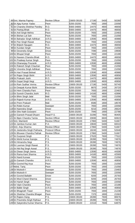| 89 Smt. Mamta Papney             | <b>Review Officer</b>   | 15600-39100 | 17190 | 5400 | 50280 |
|----------------------------------|-------------------------|-------------|-------|------|-------|
| 90 Sri Ajay Kumar Yadav          | Peon                    | 5200-20200  | 7650  | 1900 | 22058 |
| 91 Sri Chandra Shekhar Pandey    | R.O.                    | 9300-34800  | 14470 | 4800 | 46658 |
| 92Sri Pankaj Bhatt               | R.O.                    | 9300-34800  | 14470 | 4800 | 46658 |
| 93Sri Anil Singh Mehra           | Peon                    | 5200-20200  | 7650  | 1900 | 22483 |
| 94 Sri Bishan Lal Sah            | Peon                    | 5200-20200  | 7650  | 1900 | 21058 |
| 95 Sri Bahadur Singh Adhikari    | A.R.O.                  | 9300-34800  | 13590 | 4600 | 40988 |
| 96 Sri Pan Singh Rawat           | Peon                    | 5200-20200  | 7650  | 1900 | 21058 |
| 97 Sri Brijesh Naugain           | R.O.                    | 9300-34800  | 14470 | 4800 | 46658 |
| 98 Sri Kundan Singh              | Peon                    | 5200-20200  | 7650  | 1900 | 21058 |
| 99 Sri Devendra Singh            | Driver                  | 5200-20200  | 7090  | 1900 | 19908 |
| 100Sri Bhupal Singh              | Peon                    | 5200-20200  | 7650  | 1900 | 22188 |
| 101 Sri Naveen Chandra Bhatt     | R.O.                    | 9300-34800  | 14470 | 4800 | 46658 |
| 102Sri Pradeep Kumar Singh       | Peon                    | 5200-20200  | 7650  | 1900 | 21058 |
| 103 Sri Dhananjay Pouranik       | A.R.O.                  | 9300-34800  | 13590 | 4600 | 40988 |
| 104 Sri Rakesh Singh Chauhan     | Peon                    | 5200-20200  | 7650  | 1900 | 21058 |
| 105 Sri Virendra Singh Adhikari  | Peon                    | 5200-20200  | 7650  | 1900 | 21058 |
| 106Sri Hari Prasad Belwal        | A.R.O.                  | 9300-34800  | 13590 | 4600 | 40988 |
| 107 Sri Rajan Singh Bisht        | A.R.O.                  | 9300-34800  | 13590 | 4600 | 40858 |
| 108 Sri Prakash Joshi            | R.O.                    | 9300-34800  | 14470 | 4800 | 46658 |
| 109Sri Gopal Singh Negi          | A.R.O.                  | 9300-34800  | 13590 | 4600 | 40858 |
| 110Sri Ram Sudhar Verma          | <b>Review Officer</b>   | 15600-39100 | 17190 | 5400 | 50740 |
| 111 Sri Deepak Kumar Bisht       | Electrician             | 5200-20200  | 8870  | 2400 | 26720 |
| 112Sri Hem Chandra Pant          | Peon                    | 5200-20200  | 7650  | 1900 | 22483 |
| 113 Sri Suresh Chandra Joshi     | R.O.                    | 9300-34800  | 14160 | 4800 | 42896 |
| 114 Sri Bhim Singh Jalal         | Mali                    | 5200-20200  | 7650  | 1900 | 21058 |
| 115 Sri Rajesh Kumar Arya        | A.R.O.                  | 9300-34800  | 13590 | 4600 | 40858 |
| 116Sri Prem Prakash              | Mali                    | 5200-20200  | 6580  | 1800 | 18578 |
| 117Sri Robin Kumar               | Sweeper                 | 5200-20200  | 7650  | 1900 | 22058 |
| 118 Sri Narendra Singh           | <b>Driver</b>           | 5200-20200  | 9210  | 2400 | 26624 |
| 119Sri Shiv Nath Goswami         | Peon                    | 5200-20200  | 7940  | 1900 | 22788 |
| 120 Sri Ganesh Prasad Dhyani     | Head P.S.               | 15600-39100 | 31090 | 7600 | 90405 |
| 121 Sri Bipin Chandra Tamta      | <b>Section Officer</b>  | 15600-39100 | 20690 | 6600 | 60823 |
| 122 Smt. Mamtesh                 | <b>Review Officer</b>   | 15600-39100 | 17860 | 5400 | 51667 |
| 123Sri Jamboo Kumar Jain         | P.A.                    | 15600-39100 | 19840 | 5400 | 60010 |
| 124 Smt. Anju Sharma             | <b>Review Officer</b>   | 15600-39100 | 17860 | 5400 | 51667 |
| 125 Sri Jeetendra Singh Pokharia | <b>Protocol Officer</b> | 15600-39100 | 18240 | 5400 | 52648 |
| 126 Sri Bhuwan Chandra Pathak    | <b>Review Officer</b>   | 15600-39100 | 17860 | 5400 | 51667 |
| 127 Sri Gurpreet Singh           | P.S.                    | 15600-39100 | 27620 | 7600 | 77522 |
| 128 Sri Mohit Kumar Kanojia      | P.S.                    | 15600-39100 | 26390 | 7600 | 74976 |
| 129 Sri Himanshu Negi            | P.S.                    | 15600-39100 | 26390 | 7600 | 74976 |
| 130 Sri Laxman Singh Rawat       | P.S.                    | 15600-39100 | 26390 | 7600 | 74976 |
| 131 Sri Niti Raj Singh Aswal     | P.S.                    | 15600-39100 | 26390 | 7600 | 74976 |
| 132Sri Diwan Singh Jeena         | A.R.O.                  | 9300-34800  | 13590 | 4600 | 44308 |
| 133 Sri Rama Kant Sharma         | A.R.O.                  | 9300-34800  | 14160 | 4800 | 42569 |
| 134 Sri Nand Kunwar              | Peon                    | 5200-20200  | 7650  | 1900 | 21058 |
| 135 Sri Ganesh Chandra           | A.R.O.                  | 9300-34800  | 13590 | 4600 | 40858 |
| 136 Sri Govind Raj Arya          | Peon                    | 5200-20200  | 7650  | 1900 | 21058 |
| 137 Mohd. Tariq                  | Peon                    | 5200-20200  | 7650  | 1900 | 21058 |
| 138 Sri Mukesh-I                 | Sweeper                 | 5200-20200  | 7650  | 1900 | 23483 |
| 139Sri Mukesh-II                 | Sweeper                 | 5200-20200  | 7650  | 1900 | 22058 |
| 140 Sri Govind Ballabh           | Driver                  | 5200-20200  | 9200  | 2400 | 25793 |
| 141 Sri Mool Chand Sharma        | <b>Driver</b>           | 5200-20200  | 9200  | 2400 | 26793 |
| 142 Sri Harish Singh             | Peon                    | 5200-20200  | 7650  | 1900 | 22058 |
| 143 Sri Vipin Chandra            | Peon                    | 5200-20200  | 7650  | 1900 | 22188 |
| 144 Sri Balbir Singh             | A.R.O.                  | 9300-34800  | 13590 | 4600 | 40858 |
| 145 Sri Bhagirath Tiwari         | Peon                    | 5200-20200  | 7650  | 1900 | 21238 |
| 146 Sri Shekhar Chandra Bhagat   | Peon                    | 5200-20200  | 7370  | 1800 | 21563 |
| 147Sri Rajeev Dang               | P.S.                    | 15600-39100 | 26390 | 7600 | 80676 |
| 148 Sri Pravindra Singh Rathaur  | P.S.                    | 15600-39100 | 26390 | 7600 | 74976 |
| 149 Sri Satyendra Kumar Sharma   | P.S.                    | 15600-39100 | 21510 | 7600 | 64875 |
|                                  |                         |             |       |      |       |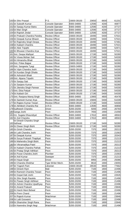| 150 Sri Shiv Prasad                 | P.S.                    | 15600-39100 | 20650 | 6600 | 61201 |
|-------------------------------------|-------------------------|-------------|-------|------|-------|
| 151 $S$ ri Subodh Kumar             | <b>Console Operator</b> | 9300-34800  | 12590 | 4200 | 40877 |
| 152Sri Sanjay Ku <u>mar Batra</u>   | <b>Console Operator</b> | 9300-34800  | 12590 | 4200 | 37727 |
| 153 <mark>Sri Man Singh</mark>      | <b>Console Operator</b> | 9300-34800  | 12590 | 4200 | 37727 |
| 154 Sri Rajnish Jindal              | Console Operator        | 9300-34800  | 12590 | 4200 | 37727 |
| 155 Sri Prakash Chandra Pandey      | <b>Review Officer</b>   | 15600-39100 | 18490 | 5400 | 57021 |
| 156 Sri Deepak Kumar Bhasin         | <b>Review Officer</b>   | 15600-39100 | 18490 | 5400 | 57021 |
| 157 Sri Rajendra Singh Deopa        | <b>Review Officer</b>   | 15600-39100 | 18490 | 5400 | 57481 |
| 158 Sri Kailash Chandra             | <b>Review Officer</b>   | 15600-39100 | 18490 | 5400 | 57021 |
| 159Sri Alok Tripathi                | <b>Review Officer</b>   | 15600-39100 | 18490 | 5400 | 52971 |
| 160 Sri Bhuwan Chandra Arya         | <b>Review Officer</b>   | 15600-39100 | 18490 | 5400 | 57021 |
| 161 Smt. Deepa Mathpal              | <b>Review Officer</b>   | 15600-39100 | 17190 | 5400 | 50280 |
| 162Sri Viswa Mohan Sati             | <b>Review Officer</b>   | 15600-39100 | 17190 | 5400 | 54330 |
| 163 Sri Himanshu Bhatt              | <b>Review Officer</b>   | 15600-39100 | 17190 | 5400 | 54330 |
| 164 Smt. Pritee Bajpai              | <b>Review Officer</b>   | 15600-39100 | 17190 | 5400 | 50280 |
| 165 Smt. Sangeeta Tyagi             | <b>Review Officer</b>   | 15600-34800 | 17190 | 5400 | 50280 |
| 166 Sri Vipin Chandra Joshi         | <b>Review Officer</b>   | 15600-39100 | 17190 | 5400 | 54330 |
| 167 Sri Kundan Singh Dhaila         | <b>Review Officer</b>   | 15600-39100 | 17190 | 5400 | 54330 |
| 168 Sri Ashutosh Bhatt              | <b>Review Officer</b>   | 15600-39100 | 17190 | 5400 | 50280 |
| 169 Smt. Alpana Tripathi            | <b>Review Officer</b>   | 15600-39100 | 17190 | 5400 | 50280 |
| 170 Sri Sanjay Sati                 | <b>Review Officer</b>   | 15600-39100 | 17190 | 5400 | 50280 |
|                                     |                         |             |       |      |       |
| 171 Sri Sanjeev Kumar               | <b>Review Officer</b>   | 15600-39100 | 17190 | 5400 | 50280 |
| 172 Sri Jitendra Singh Panwar       | <b>Review Officer</b>   | 15600-39100 | 17190 | 5400 | 54330 |
| 173Smt. Ekta Patiyal                | <b>Review Officer</b>   | 15600-39100 | 17190 | 5400 | 54330 |
| 174 Sri Kailash Giri                | <b>Review Officer</b>   | 15600-39100 | 17190 | 5400 | 54330 |
| 175 Smt. Ranjana Manoj Singh        | <b>Review Officer</b>   | 9300-34800  | 13900 | 4800 | 45478 |
| 176 Sri Santosh Kumar Arya          | <b>Review Officer</b>   | 15600-39100 | 15600 | 5400 | 51039 |
| 177 Sri Rajeev Kumar Tewari         | <b>Review Officer</b>   | 15600-39100 | 17190 | 5400 | 54330 |
| 178 Sri Akhilesh Chandra Rai        | A.R.O.                  | 9300-34800  | 13590 | 4600 | 40858 |
| 179 Sudheesh Chandra                | <b>Driver</b>           | 5200-20200  | 9200  | 2400 | 26793 |
| 180 Ganga Joshi                     | Peon                    | 5200-20200  | 7650  | 1900 | 21058 |
| 181 Km. Sugata Dhaundiyal           | <b>Review Officer</b>   | 9300-34800  | 17810 | 4800 | 48563 |
| 182Sri Anil Chandra                 | <b>Review Officer</b>   | 9300-34800  | 17810 | 4800 | 48563 |
| Sri Dinesh Chandra Singh            |                         |             |       |      |       |
| 183Sethwal                          | <b>Review Officer</b>   | 15600-39100 | 17190 | 5400 | 50280 |
| 184 Sri Diwan Singh Bisht           | <b>Review Officer</b>   | 15600-39100 | 17190 | 5400 | 50280 |
| 185 Sri Girish Chandra              | Peon                    | 5200-20200  | 7370  | 1800 | 20213 |
| 186Sri Lalit Chandra Joshi          | Peon                    | 5200-20200  | 7370  | 1800 | 21563 |
| 187 Sri Deepak Kumar                | Peon                    | 5200-20200  | 7370  | 1800 | 20343 |
| 188Sri Surya Prakash Thapliyal      | Peon                    | 5200-20200  | 7370  | 1800 | 21213 |
| 189 Sri Mahendra Singh Bisht        | Peon                    | 5200-20200  | 7370  | 1800 | 21213 |
| 190 Sri Vikramaditya Patel          | Peon                    | 5200-20200  | 7370  | 1800 | 20213 |
| 191 Sri Kailash Chandra Pathak      | Peon                    | 5200-20200  | 7370  | 1800 | 21213 |
| 192Sri Pratap Singh Adhikari        | Peon                    | 5200-20200  | 7370  | 1800 | 20213 |
| 193 Sri Puran Chandra Joshi         | Plumber                 | 5200-20200  | 7370  | 1800 | 21563 |
| 194Sri Anil Kumar                   | Sweeper                 | 5200-20200  | 7370  | 1800 | 21213 |
| 195 Sri Hayat Singh                 | Driver                  | 5200-20200  | 8950  | 2400 | 25086 |
| 196 Sri Chandra Shekhar             | Type Writer Mech.       | 5200-20200  | 8610  | 1900 | 23055 |
| 197 Sri Yogesh Pant                 | Librarian               | 15600-39100 | 26530 | 6600 | 77662 |
| 198Sri Dinesh Ram                   | Mali                    | 5200-20200  | 7100  | 1800 | 22496 |
| 199 Sri Ramesh Chandra Tewari       | Peon                    | 5200-20200  | 7100  | 1800 | 21496 |
| 200 Sri Gopal Datt Joshi            | Peon                    | 5200-20200  | 7100  | 1800 | 22626 |
| 201Sri Shiv Singh Rautela           | Peon                    | 5200-20200  | 7100  | 1800 | 21496 |
| 202 <b>Sri Pawan Singh Adhikari</b> | Peon                    | 5200-20200  | 7100  | 1800 | 21496 |
| 203 Sri Ashok Chandra Upadhyay      | Peon                    | 5200-20200  | 7100  | 1800 | 22496 |
| 204 Sri Anand Prakash               | Peon                    | 5200-20200  | 7100  | 1800 | 23846 |
| 205 Sri Harsh Mani Belwal           | Peon                    | 5200-20200  | 7100  | 1800 | 22496 |
| 206Sri Prem Chand                   | Peon                    | 5200-20200  | 7100  | 1800 | 21496 |
| 207 Sri Rajesh Kumar                | Watchman                | 5200-20200  | 7100  | 1800 | 23846 |
| 208Sri Lalit Goswami                | Peon                    | 5200-20200  | 7100  | 1800 | 22496 |
| 209 Sri Shamsher Singh Rana         | Peon                    | 5200-20200  | 7100  | 1800 | 22846 |
|                                     |                         |             |       |      |       |
| 210 Sri Narendra Singh Negi         | Watchman                | 5200-20200  | 7100  | 1800 | 21496 |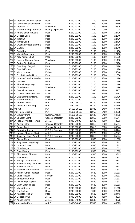| 211 Sri Prakash Chandra Pathak   | Peon                    | 5200-20200  | 7100  | 1800 | 22846 |
|----------------------------------|-------------------------|-------------|-------|------|-------|
| 212 Sri Laxman Nath Goswami      | <b>Driver</b>           | 5200-20200  | 7090  | 1900 | 22769 |
| 213 Sri Prakash Lal              | Watchman                | 5200-20200  | 7100  | 1800 | 22626 |
| 214 Sri Rajendra Singh Sammal    | Peon (suspended)        | 5200-20200  | 3550  | 900  | 11098 |
| 215 Sri Anand Singh Rautela      | Peon                    | 5200-20200  | 7100  | 1800 | 22496 |
| 216Sri Deepak Joshi              | Peon                    | 5200-20200  | 7100  | 1800 | 22846 |
| 217Sri Inder Lal                 | Peon                    | 5200-20200  | 7100  | 1800 | 22496 |
| 218 Sri Manoj Gond               | Peon                    | 5200-20200  | 7100  | 1800 | 22496 |
| 219 Sri Dwarika Prasad Sharma    | Peon                    | 5200-20200  | 7100  | 1800 | 22496 |
| 220 Sri Danish                   | Peon                    | 5200-20200  | 7100  | 1800 | 22846 |
| 221 Sri Dalip Ram                | Peon                    | 5200-20200  | 7100  | 1800 | 21496 |
| 222 Sri Manoj Singh Negi         | Peon                    | 5200-20200  | 7100  | 1800 | 22496 |
| 223 Sri Ajay Kumar Bhatt         | Peon                    | 5200-20200  | 7100  | 1800 | 21626 |
| 224 Sri Naveen Chandra Joshi     | Watchman                | 5200-20200  | 7100  | 1800 | 21496 |
| 225 Sri Pratap Singh Garia       | Peon                    | 5200-20200  | 7100  | 1800 | 22496 |
|                                  |                         |             |       |      |       |
| 226 Sri Dan Singh Bargali        | Peon                    | 5200-20200  | 7100  | 1800 | 22496 |
| 227 Sri Rajesh Kumar             | Peon                    | 5200-20200  | 7100  | 1800 | 21496 |
| 228 Sri Mohd. Yunus              | Painter                 | 5200-20200  | 7100  | 1800 | 23846 |
| 229 Sri Girish Chandra Upreti    | Peon                    | 5200-20200  | 7100  | 1800 | 21606 |
| 230 Sri Umesh Chandra Pandey     | Peon                    | 5200-20200  | 7100  | 1800 | 21496 |
| 231 Sri Urba Datt                | Peon                    | 5200-20200  | 7100  | 1800 | 21496 |
| 232 Sri Bhupal Singh Negi        | Peon                    | 5200-20200  | 7100  | 1800 | 21496 |
| 233 Sri Dinesh Ram               | Watchman                | 5200-20200  | 7100  | 1800 | 21496 |
| 234 Sri Deepak Gunwant           | <b>Driver</b>           | 5200-20200  | 7930  | 1900 | 25107 |
| 235 Sri Girish Chandra Petshali  | <b>Driver</b>           | 5200-20200  | 7930  | 1900 | 24682 |
| 236 Sri Chitra Bahadur Rana      | Peon                    | 5200-20200  | 7100  | 1800 | 21496 |
| 237 Sri Rajendra Prasad          | Watchman                | 5200-20200  | 7100  | 1800 | 22496 |
| 238 Sri Prabodh Kumar            | P.A.                    | 15600-39100 | 18330 | 5400 | 57746 |
| 239 Sri Avneet Kumar Singh       | P.A.                    | 15600-39100 | 18330 | 5400 | 57746 |
| 240Km. Arti                      | P.A.                    | 15600-39100 | 18330 | 5400 | 57746 |
| 241 Smt. Rajini Gusain           | P.A.                    | 15600-39100 | 16950 | 5400 | 54605 |
| 242Sri Digvijay Pant             | System Analyst          | 15600-39100 | 19690 | 5400 | 64733 |
| 243 Sri Shailesh Bisht           | <b>Console Operator</b> | 5200-20200  | 10810 | 2800 | 35244 |
| 244 Sri Pranay Prakash Tewari    | A.R.O.                  | 9300-34800  | 13590 | 4600 | 48073 |
| 245 Sri Aditya Rathi             | <b>Console Operator</b> | 5200-20200  | 10810 | 2800 | 35244 |
| 246 Sri Pankaj Bhatt             | <b>Console Operator</b> | 5200-20200  | 10810 | 2800 | 35244 |
| 247 Sri Surendra Kumar           | E.P.B.X Operator        | 5200-20200  | 10810 | 2800 | 33144 |
| 248 Sri Kailash Chandra Bhatt    | A.R.O.                  | 9300-34800  | 11220 | 4600 | 42677 |
| 249 Sri Jagat Pal Singh Aswal    | E.P.B.X Operator        | 5200-20200  | 10810 | 2800 | 35244 |
|                                  |                         |             |       |      |       |
| 250 Sri Bishan Ram               | Peon                    | 5200-20200  | 6580  | 1800 | 21313 |
| 251 Sri Raghuveer Singh Negi     | Peon                    | 5200-20200  | 6580  | 1800 | 21313 |
| 252 Sri Umesh Kumar              | Peon                    | 5200-20200  | 6580  | 1800 | 21313 |
| 253 Sri Dinesh Arya              | Watchman                | 5200-20200  | 6580  | 1800 | 21663 |
| 254 Sri Gokal Singh              | Peon                    | 5200-20200  | 6580  | 1800 | 21313 |
| 255 Sri Shiv Kumar Sharma        | Peon                    | 5200-20200  | 6580  | 1800 | 20313 |
| 256 Sri Ravi Kumar               | Peon                    | 5200-20200  | 6580  | 1800 | 21313 |
| 257 Sri Manoj Kumar Sharma       | Peon                    | 5200-20200  | 6580  | 1800 | 20313 |
| 258 Sri Narendra Singh Phartiyal | Peon                    | 5200-20200  | 6580  | 1800 | 21313 |
| 259 Sri Narendra Kumar           | Peon                    | 5200-20200  | 6580  | 1800 | 20313 |
| 260 Sri Rajesh Kumar Maurya      | Farrash                 | 5200-20200  | 6580  | 1800 | 21313 |
| 261 Sri Ashok Kumar Prajapati    | Peon                    | 5200-20200  | 6580  | 1800 | 21313 |
| 262 Sri Bahid Husain             | Farrash                 | 5200-20200  | 6580  | 1800 | 20313 |
| 263 Sri Bhupendra Singh          | Peon                    | 5200-20200  | 6580  | 1800 | 21313 |
| 264 Sri Vijay Singh Sajwan       | Peon                    | 5200-20200  | 6580  | 1800 | 21313 |
| 265 Sri Dhan Singh Thapa         | Peon                    | 5200-20200  | 6580  | 1800 | 21313 |
| 266 Sri Manoj Kumar              | Peon                    | 5200-20200  | 6580  | 1800 | 21313 |
| 267 Sri Om Prakash               | <b>Driver</b>           | 5200-20200  | 7090  | 1900 | 22769 |
| 268 Sri Kamlesh Kumar            | Peon                    | 5200-20200  | 6580  | 1800 | 20443 |
| 269 Sri Deepak Tyagi             | A.R.O.                  | 9300-34800  | 13590 | 4600 | 48073 |
| 270Sri Anoop Mehra               | A.R.O.                  | 9300-34800  | 13590 | 4600 | 48073 |
|                                  |                         |             |       |      |       |
| 271 Km. Akvindra Kaur            | A.R.O.                  | 9300-34800  | 13590 | 4600 | 48073 |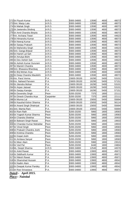| 272Sri Piyush Kumar            | A.R.O.     | 9300-34800  | 13590 | 4600 | 48073 |
|--------------------------------|------------|-------------|-------|------|-------|
| 273 Smt. Manju Lata            | A.R.O.     | 9300-34800  | 13590 | 4600 | 48073 |
| 274 Sri Mahak Singh            | A.R.O.     | 9300-34800  | 13590 | 4600 | 48073 |
| 275Sri Jeetendra Shobraj       | A.R.O.     | 9300-34800  | 13590 | 4600 | 48073 |
| 276Sri Amit Chandra Binjola    | A.R.O.     | 9300-34800  | 13590 | 4600 | 48073 |
| 277Km. Archana Tiwari          | A.R.O.     | 9300-34800  | 13590 | 4600 | 44623 |
| 278 Sri Himanshu Kumar         | A.R.O.     | 9300-34800  | 13590 | 4600 | 48073 |
| 279 Sri Neeraj Kumar           | A.R.O.     | 9300-34800  | 13590 | 4600 | 48073 |
| 280 Sri Sanjay Prakash         | A.R.O.     | 9300-34800  | 13590 | 4600 | 48073 |
| 281 Sri Mahendra Singh         | A.R.O.     | 9300-34800  | 13590 | 4600 | 44623 |
| 282Smt. Ganga Brijwal          | A.R.O.     | 9300-34800  | 13590 | 4600 | 48073 |
| 283 Sri Harish Lal Sah         | A.R.O.     | 9300-34800  | 13590 | 4600 | 48073 |
| 284 Sri Amulya Bisht           | A.R.O.     | 9300-34800  | 13590 | 4600 | 48073 |
| 285 Sri Dev Ashish Sah         | A.R.O.     | 9300-34800  | 13590 | 4600 | 44623 |
| 286 Sri Ashish Kumar Gururani  | A.R.O.     | 9300-34800  | 13590 | 4600 | 48073 |
| 287 Sri Manish Chandra         | A.R.O.     | 9300-34800  | 13590 | 4600 | 48073 |
| 288 Smt. Bhawana Bhardwaj      | A.R.O.     | 9300-34800  | 13590 | 4600 | 48073 |
| 289 Sri Brij Mohan Arya        | A.R.O.     | 9300-34800  | 13590 | 4600 | 44308 |
| 290 Sri Deep Chandra Maulekhi  | A.R.O.     | 9300-34800  | 13590 | 4600 | 48073 |
| 291 Km. Parul Verma            | P.A.       | 15600-39100 | 16290 | 5400 | 53101 |
| 292Km. Naheed Parveen          | P.A.       | 15600-39100 | 16290 | 5400 | 57151 |
| 293 Sri Jitendra Mohan         | P.A.       | 15600-39100 | 16290 | 5400 | 53101 |
| 294 Sri Arpan Jaiswal          | P.A.       | 15600-39100 | 16290 | 5400 | 53101 |
| 295 Sri Sanjay Kanojia         | P.A.       | 15600-39100 | 16290 | 5400 | 57151 |
| 296 Sri Devendra Singh         | Peon       | 5200-20200  | 7370  | 1800 | 22111 |
| 297 Sri Dinesh Chandra Arya    | Carpainter | 5200-20200  | 7370  | 1800 | 22111 |
| 298 Sri Munna Lal              | P.A.       | 15600-39100 | 15650 | 5400 | 55694 |
| 299 Sri Kaushal Kishor Sharma  | P.A.       | 15600-39100 | 15650 | 5400 | 56114 |
| 300 Sri Anand Singh Dhakriyal  | P.A.       | 15600-39100 | 15650 | 5400 | 55694 |
| 301 Smt. Mamta Rani            | P.A.       | 15600-39100 | 15650 | 5400 | 55694 |
| 302Sri Ram Rath                | Peon       | 5200-20200  | 5860  | 1800 | 18583 |
| 303 Sri Yogesh Kumar Sharma    | Peon       | 5200-20200  | 5860  | 1800 | 19583 |
| 304 Sri Chandra Shekhar        | Peon       | 5200-20200  | 5860  | 1800 | 20933 |
| 305 Sri Balwant Singh Rawat    | Peon       | 5200-20200  | 5860  | 1800 | 19933 |
| 306 Sri Chandan Kumar Mahaldar | Peon       | 5200-20200  | 5860  | 1800 | 19933 |
| 307 Sri Vinod Singh            | Peon       | 5200-20200  | 5860  | 1800 | 18583 |
| 308 Sri Prakash Chandra Joshi  | Peon       | 5200-20200  | 5860  | 1800 | 19583 |
| 309 Sri Krishna Chandra        | Peon       | 5200-20200  | 5860  | 1800 | 19583 |
| 310 Sri Gopal Joshi            | Peon       | 5200-20200  | 5860  | 1800 | 19933 |
| 311 Sri Amitava Sanyal         | Peon       | 5200-20200  | 5860  | 1800 | 18583 |
| 312 Sri Meer Alam              | Peon       | 5200-20200  | 5960  | 1800 | 23515 |
| 313 Sri Ved Pal                | Peon       | 5200-20200  | 6440  | 1800 | 24804 |
| 314 Ms. Deepti Sharma          | A.R.O.     | 9300-34800  | 12540 | 4600 | 44570 |
| 315 Sri Ankit Rawat            | P.A.       | 9300-34800  | 13900 | 4800 | 45671 |
| 316Sri Siddharth Kumar         | P.A.       | 9300-34800  | 13900 | 4800 | 45671 |
| 317 Sri Nitesh Rawat           | P.A.       | 9300-34800  | 13900 | 4800 | 45671 |
| 318 Sri Shamshad Hussain       | P.A.       | 9300-34800  | 13900 | 4800 | 49542 |
| 319Sri Nadim Alam              | P.A.       | 9300-34800  | 13900 | 4800 | 49542 |
| 320 Sri Deepak Kumar Pandey    | P.A.       | 9300-34800  | 13900 | 4800 | 49542 |
| 321 Sri Ravi Srivastava        | P.A.       | 9300-34800  | 13900 | 4800 | 45671 |
|                                |            |             |       |      |       |

*Dated:- April 2015. Place:- Nainital*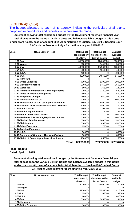# **SECTION 4(1)(b)(xi)**

The budget allocated to each of its agency, indicating the particulars of all plans, proposed expenditures and reports on disbursements made;

**Statement showing total sanctioned budget by the Government for whole financial year, total allocation to the various District Courts and balance/available budget in this Court,**

**under grant no. 04, head of account 2014-Administration of Justice-105-Civil & Session Court-03-District & Sessions Judge for the financial year 2015-2016**

| SI.No. | No. & Name of Head                                | <b>Total budget</b><br>sanctioned by | <b>Total budget</b><br>allocation to the | <b>Balance/</b><br>available |
|--------|---------------------------------------------------|--------------------------------------|------------------------------------------|------------------------------|
|        | $1$ 01-Pay                                        | the Govt.<br>350000000               | <b>District Courts</b><br>314000000      | budget<br>36000000           |
|        | 202-Wages                                         | 2000000                              | 1445000                                  | 555000                       |
|        | $3 03-D.A.$                                       | 400000000                            | 357960000                                | 42040000                     |
|        | $404 - T.A.$                                      | 2000000                              | 1540000                                  | 460000                       |
|        | $5$ 05-T.T.A.                                     | 4000000                              | $\Omega$                                 | 4000000                      |
|        | 606-O.A.                                          | 40000000                             | 34540000                                 | 5460000                      |
|        | 707-Honoraria                                     |                                      |                                          |                              |
|        | 808-Office Expenses                               | 7000000                              | 5100000                                  | 1900000                      |
|        | 909-Electricity Charges                           | 8000000                              | 5450000                                  | 2550000                      |
|        | 1010-Water Tax                                    | 500000                               | 361000                                   | 139000                       |
|        | 1111-Purchase of stationery & printing of forms   | 2000000                              | 1320000                                  | 680000                       |
|        | 1212-Office Furniture & Equipment                 | 2500000                              | $\Omega$                                 | 2500000                      |
|        | 1313-Telephone Charges                            | 2800000                              | 2050000                                  | 750000                       |
|        | 1414-Purchase of Staff Car                        | 4000000                              | $\Omega$                                 | 4000000                      |
|        | 1515-Maintenance of staff car & pruchase of fuel  | 7500000                              | 5400000                                  | 2100000                      |
|        | 16 16-Payment for Professional & Special Services | 5000000                              | 3800000                                  | 1200000                      |
|        | 1717-Rent & Taxes                                 | 2500000                              | 1795000                                  | 705000                       |
|        | 1822-Sumptuary Allowance                          | 200000                               | 115000                                   | 85000                        |
|        | 1925-Minor Construction Works                     | 5000000                              | 0                                        | 5000000                      |
|        | 2026-Machines & Furnishing/Equipment & Plant      | 4000000                              | $\Omega$                                 | 4000000                      |
|        | 2127-Medical Reimbursement                        | 5500000                              | 3000000                                  | 2500000                      |
|        | 2229-Maintenance                                  | 5000000                              | 495000                                   | 4505000                      |
|        | 2342-Other Expenses                               | 250000                               | 175000                                   | 75000                        |
|        | 2444-Training Expenses                            |                                      | 0                                        |                              |
|        | 2545-L.T.C.                                       | 800000                               | $\Omega$                                 | 800000                       |
|        | 2646-Purchase of Computer Hardware/Software       | 800000                               |                                          | 800000                       |
|        | 2747-Maint. of Comp. & pruchase of stationery     | 1000000                              | 850000                                   | 150000                       |
|        | <b>Total</b>                                      | 862350000                            | 739396000                                | 122954000                    |

#### **Place: Nainital**

**Dated: April ..., 2015.**

**Statement showing total sanctioned budget by the Government for whole financial year, total allocation to the various District Courts and balance/available budget in this Court, under grant no. 04, head of account 2014-Administration of Justice-108-Criminal Court-03-Regular Establishment for the financial year 2015-2016**

| SI.No. | No. & Name of Head  | <b>Total budget</b><br>sanctioned by | <b>Total budget</b><br>allocation to the | Balance/<br>available |
|--------|---------------------|--------------------------------------|------------------------------------------|-----------------------|
|        |                     | the Govt.                            | <b>District Courts</b>                   | budget                |
|        | $1 01-Pay$          | 50000000                             | 48800000                                 | 1200000               |
|        | 202-Wages           |                                      |                                          | 0                     |
|        | $3 03-D.A.$         | 59000000                             | 57584000                                 | 1416000               |
|        | $404 - T.A.$        | 350000                               | 167000                                   | 183000                |
|        | $5$ 05-T.T.A.       | 600000                               |                                          | 600000                |
|        | $606 - 0.A.$        | 6000000                              | 5856000                                  | 144000                |
|        | 707-Honoraria       |                                      |                                          | 0                     |
|        | 808-Office Expenses | 300000                               | 165000                                   | 135000                |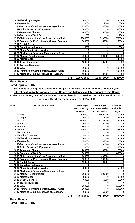| 909-Electricity Charges                                       | 200000    | 80000     | 120000  |
|---------------------------------------------------------------|-----------|-----------|---------|
| 1010-Water Tax                                                | 20000     | 4000      | 16000   |
| 11 <sup>1</sup> 11-Purchase of stationery & printing of forms | 250000    | 145000    | 105000  |
| 1212-Office Furniture & Equipment                             | 300000    |           | 300000  |
| 1313-Telephone Charges                                        | 400000    | 300000    | 100000  |
| 1414-Purchase of Staff Car                                    | 1000      |           | 1000    |
| 1515-Maintenance of staff car & pruchase of fuel              | 1800000   | 1100000   | 700000  |
| 16 16-Payment for Professional & Special Services             | 300000    | 150000    | 150000  |
| 1717-Rent & Taxes                                             |           |           |         |
| 1822-Sumptuary Allowance                                      | 10000     |           | 10000   |
| 1925-Minor Construction Works                                 |           |           |         |
| 2026-Machines & Furnishing/Equipment & Plant                  |           |           |         |
| 2127-Medical Reimbursement                                    | 700000    | 200000    | 500000  |
| 2229-Maintenance                                              | 40000     |           | 40000   |
| 2342-Other Expenses                                           | 150000    | 135000    | 15000   |
| 2444-Training Expenses                                        |           |           |         |
| 2545-L.T.C.                                                   | 100000    |           | 100000  |
| 2646-Purchase of Computer Hardware/Software                   | 100000    |           | 100000  |
| 2747-Maint. of Comp. & pruchase of stationery                 | 100000    | 87000     | 13000   |
| Totall                                                        | 120721000 | 114773000 | 5948000 |

**Dated: April ..., 2015.**

**Statement showing total sanctioned budget by the Government for whole financial year, total allocation to the various District Courts and balance/available budget in this Court, under grant no. 04, head of account 2014-Administration of Justice-105-Civil & Session Court-04-Family Court for the financial year 2015-2016**

| SI.No. | No. & Name of Head                               | <b>Total budget</b> | <b>Total budget</b>    | <b>Balance/</b> |
|--------|--------------------------------------------------|---------------------|------------------------|-----------------|
|        |                                                  | sanctioned by       | allocation to the      | available       |
|        |                                                  | the Govt.           | <b>District Courts</b> | budget          |
|        | $1 01-Pay$                                       | 18000000            | 16600000               | 1400000         |
|        | 202-Wages                                        | 100000              | 74000                  | 26000           |
|        | $3 03-D.A.$                                      | 21000000            | 19256000               | 1744000         |
|        | $4 04-T.A.$                                      | 300000              | 300000                 |                 |
|        | $5 05-T.T.A.$                                    | 400000              |                        | 400000          |
|        | 606-O.A.                                         | 2500000             | 2158000                | 342000          |
|        | 707-Honoraria                                    |                     |                        |                 |
|        | 808-Office Expenses                              | 350000              | 190000                 | 160000          |
|        | 909-Electricity Charges                          | 200000              | 70000                  | 130000          |
|        | 1010-Water Tax                                   | 50000               | 35000                  | 15000           |
|        | 111-Purchase of stationery & printing of forms   | 130000              | 100000                 | 30000           |
|        | 1212-Office Furniture & Equipment                | 150000              |                        | 150000          |
|        | 1313-Telephone Charges                           | 200000              | 180000                 | 20000           |
|        | 1414-Purchase of Staff Car                       | 800000              |                        | 800000          |
|        | 1515-Maintenance of staff car & pruchase of fuel | 600000              | 600000                 |                 |
|        | 1616-Payment for Professional & Special Services | 900000              | 900000                 |                 |
|        | 1717-Rent & Taxes                                | 100000              | 100000                 |                 |
|        | 1822-Sumptuary Allowance                         |                     | 0                      |                 |
|        | 1925-Minor Construction Works                    | 50000               | $\Omega$               | 50000           |
|        | 2026-Machines & Furnishing/Equipment & Plant     |                     |                        |                 |
|        | 2127-Medical Reimbursement                       | 200000              | 200000                 |                 |
|        | 2229-Maintenance                                 | 80000               |                        | 80000           |
|        | 2342-Other Expenses                              | 60000               | 50000                  | 10000           |
|        | 2444-Training Expenses                           | ∩                   | 0                      |                 |
|        | 2545-L.T.C.                                      | 150000              | 0                      | 150000          |
|        | 2646-Purchase of Computer Hardware/Software      | 100000              |                        | 100000          |
|        | 2747-Maint. of Comp. & pruchase of stationery    | 60000               | 60000                  |                 |
|        | <b>Total</b>                                     | 46480000            | 40873000               | 5607000         |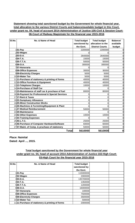#### **Statement showing total sanctioned budget by the Government for whole financial year, total allocation to the various District Courts and balance/available budget in this Court, under grant no. 04, head of account 2014-Administration of Justice-105-Civil & Session Court-06-Court of Railway Magistrate for the financial year 2015-2016**

| SI.No. | No. & Name of Head                               | <b>Total budget</b> | <b>Total budget</b>    | <b>Balance/</b> |
|--------|--------------------------------------------------|---------------------|------------------------|-----------------|
|        |                                                  | sanctioned by       | allocation to the      | available       |
|        |                                                  | the Govt.           | <b>District Courts</b> | budget          |
|        | 101-Pay                                          | 2200000             | 2200000                | 0               |
|        | $2$ 02-Wages                                     |                     |                        | 0               |
|        | $303-D.A.$                                       | 2640000             | 2640000                | 0               |
|        | $4$ 04-T.A.                                      | 15000               | 15000                  | 0               |
|        | $5 05-T.T.A.$                                    | 50000               | 50000                  | 0               |
|        | 606-O.A.                                         | 300000              | 300000                 | 0               |
|        | 707-Honoraria                                    |                     | O                      | 0               |
|        | 808-Office Expenses                              | 30000               | 30000                  | 0               |
|        | 909-Electricity Charges                          | 5000                | 5000                   | 0               |
|        | 1010-Water Tax                                   | 5000                | 5000                   | 0               |
|        | 11 11-Purchase of stationery & printing of forms | 40000               | 40000                  | 0               |
|        | 1212-Office Furniture & Equipment                | 40000               | 40000                  | 0               |
|        | 1313-Telephone Charges                           | 10000               | 10000                  | 0               |
|        | 1414-Purchase of Staff Car                       |                     | 0                      | 0               |
|        | 1515-Maintenance of staff car & pruchase of fuel | 80000               | 80000                  | 0               |
|        | 1616-Payment for Professional & Special Services | 0                   | 0                      | 0               |
|        | 1717-Rent & Taxes                                | ∩                   | 0                      | 0               |
|        | 1822-Sumptuary Allowance                         | ი                   | 0                      | 0               |
|        | 1925-Minor Construction Works                    | 0                   | 0                      | 0               |
|        | 2026-Machines & Furnishing/Equipment & Plant     | O                   | $\Omega$               | 0               |
|        | 2127-Medical Reimbursement                       | 50000               | 50000                  | 0               |
|        | 2229-Maintenance                                 |                     |                        | 0               |
|        | 2342-Other Expenses                              | 10000               | 10000                  | 0               |
|        | 2444-Training Expenses                           |                     | 0                      | 0               |
|        | 2545-L.T.C.                                      | 25000               | 25000                  | 0               |
|        | 2646-Purchase of Computer Hardware/Software      | 60000               | 60000                  | 0               |
|        | 2747-Maint. of Comp. & pruchase of stationery    | 50000               | 50000                  | 0               |
|        | <b>Total</b>                                     | 5610000             | 5610000                | 0               |

# **Place: Nainital**

**Dated: April ..., 2015.**

#### **Total budget sanctioned by the Government for whole financial year under grant no. 04, head of account 2014-Administration of Justice-102-High Court-03-High Court for the financial year 2015-2016**

| SI.No. | No. & Name of Head                                            | <b>Total budget</b><br>sanctioned by |  |
|--------|---------------------------------------------------------------|--------------------------------------|--|
|        |                                                               | the Govt.                            |  |
|        | $1 01-Pay$                                                    | 115000000                            |  |
|        | 202-Wages                                                     | 2000000                              |  |
|        | $303-D.A.$                                                    | 135700000                            |  |
|        | $404 - T.A.$                                                  | 1350000                              |  |
|        | $5 05-T.T.A.$                                                 | 1200000                              |  |
|        | 606-O.A.                                                      | 16000000                             |  |
|        | 707-Honoraria                                                 | 100000                               |  |
|        | 808-Office Expenses                                           | 7500000                              |  |
|        | 909-Electricity Charges                                       | 3500000                              |  |
|        | 1010-Water Tax                                                | 500000                               |  |
|        | 11 <sup>1</sup> 11-Purchase of stationery & printing of forms | 2000000                              |  |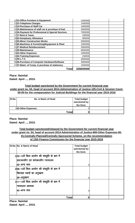| 1212-Office Furniture & Equipment                | 2200000   |  |
|--------------------------------------------------|-----------|--|
| 1313-Telephone Charges                           | 1400000   |  |
| 1414-Purchase of Staff Car                       | 1000000   |  |
| 1515-Maintenance of staff car & pruchase of fuel | 4500000   |  |
| 1616-Payment for Professional & Special Services | 7000000   |  |
| 1717-Rent & Taxes                                | 100000    |  |
| 1822-Sumptuary Allowance                         | 400000    |  |
| 1925-Minor Construction Works                    | 5000000   |  |
| 2026-Machines & Furnishing/Equipment & Plant     | 1500000   |  |
| 2127-Medical Reimbursement                       | 3000000   |  |
| 2229-Maintenance                                 | 6500000   |  |
| 2342-Other Expenses                              | 1000000   |  |
| 2444-Training Expenses                           | 150000    |  |
| 2545-L.T.C.                                      | 3500000   |  |
| 2646-Purchase of Computer Hardware/Software      | 3000000   |  |
| 2747-Maint. of Comp. & pruchase of stationery    | 1500000   |  |
| Total                                            | 326600000 |  |

**Dated: April ..., 2015.**

#### **Total budget sanctioned by the Government for current financial year under grant no. 04, head of account 2014-Administration of Justice-105-Civil & Session Court-00-05-for the compansation for Judicial Buildings for the financial year 2015-2016**

| SI.No. | No. & Name of Head | <b>Total budget</b><br>sanctioned by<br>the Govt. |  |
|--------|--------------------|---------------------------------------------------|--|
|        | 142-Other Expenses |                                                   |  |
|        | <b>Total</b>       |                                                   |  |

**Place: Nainital Dated: April ..., 2015.**

#### **Total budget sanctioned/released by the Government for current financial year under grant no. 04, head of account 2014-Administration of Justice-800-Other Expenses-00- 01-Centrally Planned/Centrally Sponsored Scheme, on the recommendation of 13th Finance Commission for the financial year 2015-2016**

| SI.No. No. & Name of Head                                                                        | <b>Total budget</b><br>sanctioned by<br>the Govt. |  |
|--------------------------------------------------------------------------------------------------|---------------------------------------------------|--|
| 103–13वें वित्त आयोग की संस्तुति के कम में<br>प्रातःकालीन एवं सांयकालीन न्यायालय<br>42–अन्य व्यय |                                                   |  |
| 208-13वें वित्त आयोग की संस्तुति के कम में<br>विरासत भवनों का अनुरक्षण<br> 29–अनुरक्षण           |                                                   |  |
| 3/11-13वें वित्त आयोग की संस्तुति के कम में<br>न्यायालय प्रबन्धक<br> 42–अन्य व्यय                |                                                   |  |
| Total                                                                                            |                                                   |  |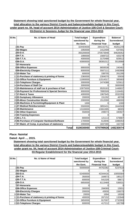#### **Statement showing total sanctioned budget by the Government for whole financial year, total allocation to the various District Courts and balance/available budget in this Court, under grant no. 04, head of account 2014-Administration of Justice-105-Civil & Session Court-03-District & Sessions Judge for the financial year 2014-2015**

| SI.No. | No. & Name of Head                               | <b>Total budget</b> | <b>Expenditure</b>    | Balance/           |
|--------|--------------------------------------------------|---------------------|-----------------------|--------------------|
|        |                                                  | sanctioned by       | during the            | <b>Surrendered</b> |
|        |                                                  | the Govt.           | <b>Financial Year</b> | budget             |
|        | $1 01-Pay$                                       | 324404000           | 284142751             | 40261249           |
|        | $2$ 02-Wages                                     | 1950000             | 1412409               | 537591             |
|        | $303-D.A.$                                       | 355200000           | 270573948             | 84626052           |
|        | $4$ 04-T.A.                                      | 1990000             | 1569722               | 420278             |
|        | 505-T.T.A.                                       | 4000000             | 3170488               | 829512             |
|        | 606-O.A.                                         | 43900000            | 38381012              | 5518988            |
|        | 707-Honoraria                                    |                     |                       |                    |
|        | 808-Office Expenses                              | 8900000             | 8659538               | 240462             |
|        | 909-Electricity Charges                          | 8000000             | 5507111               | 2492889            |
|        | 1010-Water Tax                                   | 600000              | 338705                | 261295             |
|        | 111-Purchase of stationery & printing of forms   | 2360000             | 2304070               | 55930              |
|        | 1212-Office Furniture & Equipment                | 11900000            | 11514317              | 385683             |
|        | 1313-Telephone Charges                           | 3000000             | 2474388               | 525612             |
|        | 14 14-Purchase of Staff Car                      | 3000000             |                       | 3000000            |
|        | 1515-Maintenance of staff car & pruchase of fuel | 10975000            | 9526163               | 1448837            |
|        | 1616-Payment for Professional & Special Services | 9000000             | 7895509               | 1104491            |
|        | 1717-Rent & Taxes                                | 4000000             | 1967645               | 2032355            |
|        | 1822-Sumptuary Allowance                         | 200000              | 151292                | 48708              |
|        | 1925-Minor Construction Works                    | 2000000             | 1512000               | 488000             |
|        | 2026-Machines & Furnishing/Equipment & Plant     | 1000                |                       | 1000               |
|        | 2127-Medical Reimbursement                       | 5500000             | 3855431               | 1644569            |
|        | 2229-Maintenance                                 | 13100000            | 13061995              | 38005              |
|        | 2342-Other Expenses                              | 550000              | 209073                | 340927             |
|        | 2444-Training Expenses                           |                     |                       |                    |
|        | 2545-L.T.C.                                      | 800000              | 121113                | 678887             |
|        | 2646-Purchase of Computer Hardware/Software      | 1700000             | 613946                | 1086054            |
|        | 2747-Maint. of Comp. & pruchase of stationery    | 2000000             | 1837300               | 162700             |
|        | <b>Total</b>                                     | 819030000           | 670799926             | 148230074          |

#### **Place: Nainital**

**Dated: April ..., 2015.**

**Statement showing total sanctioned budget by the Government for whole financial year, total allocation to the various District Courts and balance/available budget in this Court, under grant no. 04, head of account 2014-Administration of Justice-108-Criminal Court-03-Regular Establishment for the financial year 2014-2015**

| SI.No. | No. & Name of Head                               | <b>Total budget</b> | <b>Expenditure</b>    | <b>Balance/</b>    |
|--------|--------------------------------------------------|---------------------|-----------------------|--------------------|
|        |                                                  | sanctioned by       | during the            | <b>Surrendered</b> |
|        |                                                  | the Govt.           | <b>Financial Year</b> | budget             |
|        | $1$ 01-Pay                                       | 50000000            | 44762382              | 5237618            |
|        | 202-Wages                                        |                     |                       | 0                  |
|        | 303-D.A.                                         | 52400000            | 42344416              | 10055584           |
|        | $404 - T.A.$                                     | 350000              | 164873                | 185127             |
|        | $5 05-T.T.A.$                                    | 600000              | 541329                | 58671              |
|        | 606-O.A.                                         | 6650000             | 6113469               | 536531             |
|        | 707-Honoraria                                    |                     |                       | $\Omega$           |
|        | 808-Office Expenses                              | 300000              | 284069                | 15931              |
|        | 909-Electricity Charges                          | 200000              | 43930                 | 156070             |
|        | 1010-Water Tax                                   | 20000               | 1694                  | 18306              |
|        | 11 11-Purchase of stationery & printing of forms | 400000              | 267152                | 132848             |
|        | 1212-Office Furniture & Equipment                | 3650000             | 917007                | 2732993            |
|        | 1313-Telephone Charges                           | 600000              | 417212                | 182788             |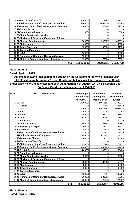| 14 <sup>14</sup> -Purchase of Staff Car           | 1300000   | 1278568  | 21432    |
|---------------------------------------------------|-----------|----------|----------|
| 1515-Maintenance of staff car & pruchase of fuel  | 2800000   | 2003536  | 796464   |
| 16 16-Payment for Professional & Special Services | 300000    | 148444   | 151556   |
| 1717-Rent & Taxes                                 |           |          |          |
| 1822-Sumptuary Allowance                          | 10000     |          | 10000    |
| 1925-Minor Construction Works                     |           |          |          |
| 2026-Machines & Furnishing/Equipment & Plant      |           |          |          |
| 2127-Medical Reimbursement                        | 800000    | 340807   | 459193   |
| 2229-Maintenance                                  | 40000     |          | 40000    |
| 2342-Other Expenses                               | 150000    | 88665    | 61335    |
| 2444-Training Expenses                            |           |          |          |
| 2545-L.T.C.                                       | 100000    |          | 100000   |
| 26 46-Purchase of Computer Hardware/Software      | 100000    |          | 100000   |
| 27 47-Maint. of Comp. & pruchase of stationery    | 150000    | 79668    | 70332    |
| Total                                             | 120920000 | 99797221 | 21122779 |

**Dated: April ..., 2015.**

**Statement showing total sanctioned budget by the Government for whole financial year, total allocation to the various District Courts and balance/available budget in this Court, under grant no. 04, head of account 2014-Administration of Justice-105-Civil & Session Court-04-Family Court for the financial year 2014-2015**

| SI.No. | No. & Name of Head                               | <b>Total budget</b> | <b>Expenditure</b>    | <b>Balance/</b>    |
|--------|--------------------------------------------------|---------------------|-----------------------|--------------------|
|        |                                                  | sanctioned by       | during the            | <b>Surrendered</b> |
|        |                                                  | the Govt.           | <b>Financial Year</b> | budget             |
|        | $1 01-Pay$                                       | 17000000            | 14556654              | 2443346            |
|        | $2$ 02-Wages                                     | 75000               | 49561                 | 25439              |
|        | $3 03-D.A.$                                      | 18700000            | 13658382              | 5041618            |
|        | $4$ 04-T.A.                                      | 350000              | 340092                | 9908               |
|        | $5 05-T.T.A.$                                    | 350000              | 202412                | 147588             |
|        | 606-O.A.                                         | 2570000             | 2291463               | 278537             |
|        | 707-Honoraria                                    |                     |                       |                    |
|        | 808-Office Expenses                              | 450000              | 355147                | 94853              |
|        | 909-Electricity Charges                          | 200000              | 34023                 | 165977             |
|        | 1010-Water Tax                                   | 50000               | 27325                 | 22675              |
|        | 1111-Purchase of stationery & printing of forms  | 170000              | 146721                | 23279              |
|        | 1212-Office Furniture & Equipment                | 885000              | 671778                | 213222             |
|        | 1313-Telephone Charges                           | 260000              | 214412                | 45588              |
|        | 14 14-Purchase of Staff Car                      |                     |                       |                    |
|        | 1515-Maintenance of staff car & pruchase of fuel | 850000              | 776768                | 73232              |
|        | 1616-Payment for Professional & Special Services | 1800000             | 1400745               | 399255             |
|        | 1717-Rent & Taxes                                | 200000              | 149516                | 50484              |
|        | 1822-Sumptuary Allowance                         |                     |                       |                    |
|        | 1925-Minor Construction Works                    | 50000               | 0                     | 50000              |
|        | 2026-Machines & Furnishing/Equipment & Plant     |                     |                       |                    |
|        | 2127-Medical Reimbursement                       | 536000              | 483953                | 52047              |
|        | 2229-Maintenance                                 | 80000               | 0                     | 80000              |
|        | 2342-Other Expenses                              | 60000               | 0                     | 60000              |
|        | 2444-Training Expenses                           |                     | $\Omega$              |                    |
|        | 2545-L.T.C.                                      | 150000              | 7214                  | 142786             |
|        | 2646-Purchase of Computer Hardware/Software      | 300000              | 289235                | 10765              |
|        | 2747-Maint. of Comp. & pruchase of stationery    | 250000              | 75443                 | 174557             |
|        | <b>Total</b>                                     | 45336000            | 35730844              | 9605156            |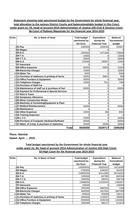#### **Statement showing total sanctioned budget by the Government for whole financial year, total allocation to the various District Courts and balance/available budget in this Court, under grant no. 04, head of account 2014-Administration of Justice-105-Civil & Session Court-06-Court of Railway Magistrate for the financial year 2014-2015**

| SI.No. | No. & Name of Head                               | <b>Total budget</b><br>sanctioned by | <b>Expenditure</b><br>during the | <b>Balance/</b><br><b>Surrendered</b> |
|--------|--------------------------------------------------|--------------------------------------|----------------------------------|---------------------------------------|
|        |                                                  | the Govt.                            | <b>Financial Year</b>            | budget                                |
|        | $1$ 01-Pay                                       | 2000000                              | 1559353                          | 440647                                |
|        | $2$ 02-Wages                                     |                                      |                                  |                                       |
|        | $3$ 03-D.A.                                      | 2200000                              | 1471494                          | 728506                                |
|        | $4 04-T.A.$                                      | 10000                                | 0                                | 10000                                 |
|        | 505-T.T.A.                                       | 50000                                | U                                | 50000                                 |
|        | 606-O.A.                                         | 220000                               | 196607                           | 23393                                 |
|        | 707-Honoraria                                    |                                      |                                  |                                       |
|        | 808-Office Expenses                              | 60000                                | 28055                            | 31945                                 |
|        | 909-Electricity Charges                          | 10000                                | 0                                | 10000                                 |
|        | 1010-Water Tax                                   | 5000                                 | ი                                | 5000                                  |
|        | 111-Purchase of stationery & printing of forms   | 40000                                | 39601                            | 399                                   |
|        | 1212-Office Furniture & Equipment                | 30000                                | 0                                | 30000                                 |
|        | 1313-Telephone Charges                           | 15000                                | 7611                             | 7389                                  |
|        | 1414-Purchase of Staff Car                       |                                      | 0                                |                                       |
|        | 1515-Maintenance of staff car & pruchase of fuel | 80000                                | 0                                | 80000                                 |
|        | 1616-Payment for Professional & Special Services | 0                                    | 0                                |                                       |
|        | 1717-Rent & Taxes                                | 0                                    | 0                                |                                       |
|        | 1822-Sumptuary Allowance                         | 0                                    | 0                                |                                       |
|        | 1925-Minor Construction Works                    | $\Omega$                             | 0                                |                                       |
|        | 2026-Machines & Furnishing/Equipment & Plant     | $\Omega$                             | 0                                |                                       |
|        | 2127-Medical Reimbursement                       | 50000                                | 0                                | 50000                                 |
|        | 2229-Maintenance                                 |                                      | 0                                |                                       |
|        | 2342-Other Expenses                              | 10000                                | 946                              | 9054                                  |
|        | 2444-Training Expenses                           |                                      | 0                                |                                       |
|        | 2545-L.T.C.                                      | 25000                                | 0                                | 25000                                 |
|        | 2646-Purchase of Computer Hardware/Software      | 60000                                | 0                                | 60000                                 |
|        | 2747-Maint. of Comp. & pruchase of stationery    | 55000                                | 26050                            | 28950                                 |
|        | <b>Total</b>                                     | 4920000                              | 3329717                          | 1590283                               |

# **Place: Nainital**

**Dated: April ..., 2015.**

#### **Total budget sanctioned by the Government for whole financial year under grant no. 04, head of account 2014-Administration of Justice-102-High Court-03-High Court for the financial year 2014-2015**

| SI.No. | No. & Name of Head                               | <b>Total budget</b><br>sanctioned by<br>the Govt. | <b>Expenditure</b><br>during the<br><b>Financial Year</b> | Balance/<br><b>Surrendered</b><br>budget |
|--------|--------------------------------------------------|---------------------------------------------------|-----------------------------------------------------------|------------------------------------------|
|        | $1$ 01-Pay                                       | 100050000                                         | 85835910                                                  | 14214090                                 |
|        | $2$ 02-Wages                                     | 6700000                                           | 6295697                                                   | 404303                                   |
|        | 303-D.A.                                         | 118855000                                         | 80112980                                                  | 38742020                                 |
|        | $4$ <b>04-T.A.</b>                               | 1350000                                           | 667965                                                    | 682035                                   |
|        | $5 05-T.T.A.$                                    | 1000000                                           | 430251                                                    | 569749                                   |
|        | 606-O.A.                                         | 13886000                                          | 12420443                                                  | 1465557                                  |
|        | 707-Honoraria                                    | 100000                                            |                                                           | 100000                                   |
|        | 808-Office Expenses                              | 7000000                                           | 6992832                                                   | 7168                                     |
|        | 909-Electricity Charges                          | 4500000                                           | 2812901                                                   | 1687099                                  |
|        | 1010-Water Tax                                   | 800000                                            | 563859                                                    | 236141                                   |
|        | 11 11-Purchase of stationery & printing of forms | 2600000                                           | 2130037                                                   | 469963                                   |
|        | 1212-Office Furniture & Equipment                | 5500000                                           | 4335158                                                   | 1164842                                  |
|        | 1313-Telephone Charges                           | 1600000                                           | 986127                                                    | 613873                                   |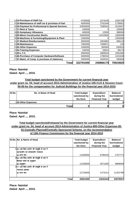| 1414-Purchase of Staff Car                       | 4700000   | 2274245   | 2425755  |
|--------------------------------------------------|-----------|-----------|----------|
| 1515-Maintenance of staff car & pruchase of fuel | 4500000   | 2761049   | 1738951  |
| 1616-Payment for Professional & Special Services | 10500000  | 7280543   | 3219457  |
| 1717-Rent & Taxes                                | 100000    |           | 100000   |
| 1822-Sumptuary Allowance                         | 400000    | 12000     | 388000   |
| 1925-Minor Construction Works                    | 16000000  | 14310600  | 1689400  |
| 2026-Machines & Furnishing/Equipment & Plant     | 1500000   |           | 1500000  |
| 2127-Medical Reimbursement                       | 3000000   | 2603882   | 396118   |
| 2229-Maintenance                                 | 7500000   | 7499871   | 129      |
| 2342-Other Expenses                              | 1000000   | 369384    | 630616   |
| 2444-Training Expenses                           | 150000    | 53824     | 96176    |
| 2545-L.T.C.                                      | 4500000   | 2808934   | 1691066  |
| 26 46-Purchase of Computer Hardware/Software     | 3000000   | 1798352   | 1201648  |
| 27 47-Maint. of Comp. & pruchase of stationery   | 2000000   | 1509331   | 490669   |
| Total                                            | 322791000 | 246866175 | 75924825 |

**Dated: April ..., 2015.**

#### **Total budget sanctioned by the Government for current financial year under grant no. 04, head of account 2014-Administration of Justice-105-Civil & Session Court-00-05-for the compansation for Judicial Buildings for the financial year 2014-2015**

| SI.No. | No. & Name of Head | <b>Total budget</b>         | <b>Expenditure</b>    | <b>Balance/</b>    |
|--------|--------------------|-----------------------------|-----------------------|--------------------|
|        |                    | during the<br>sanctioned by |                       | <b>Surrendered</b> |
|        |                    | the Govt.                   | <b>Financial Year</b> | budget             |
|        | 142-Other Expenses |                             |                       |                    |
|        | <b>Total</b>       |                             |                       | 01                 |

#### **Place: Nainital**

**Dated: April ..., 2015.**

#### **Total budget sanctioned/released by the Government for current financial year under grant no. 04, head of account 2014-Administration of Justice-800-Other Expenses-00- 01-Centrally Planned/Centrally Sponsored Scheme, on the recommendation of 13th Finance Commission for the financial year 2014-2015**

| SI.No. No. & Name of Head                  | <b>Total budget</b><br>sanctioned by | <b>Expenditure</b><br>during the | <b>Balance/</b><br><b>Surrendered</b> |
|--------------------------------------------|--------------------------------------|----------------------------------|---------------------------------------|
|                                            | the Govt.                            | <b>Financial Year</b>            | budget                                |
| 103-13वें वित्त आयोग की संस्तुति के कम में |                                      |                                  |                                       |
| प्रातःकालीन एवं सायकालीन न्यायालय          |                                      |                                  |                                       |
| 42–अन्य व्यय                               | 11556000                             | 8798229                          | 2757771                               |
| 208-13वें वित्त आयोग की संस्तुति के कम में |                                      |                                  |                                       |
| विरासत भवनों का अनुरक्षण                   |                                      |                                  |                                       |
| 29–अनूरक्षण                                | 11539000                             | 2671000                          | 8868000                               |
| 311-13वें वित्त आयोग की संस्तुति के कम में |                                      |                                  |                                       |
| न्यायालय प्रबन्धक                          |                                      |                                  |                                       |
| 42–अन्य व्यय                               | 12726000                             | 1473214                          | 11252786                              |
| Total                                      | 35821000                             | 12942443                         | 22878557                              |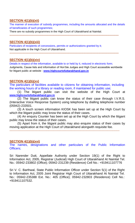# **SECTION 4(1)(b)(xii)**

The manner of execution of subsidy programmes, including the amounts allocated and the details of beneficiaries of such programmes;

There are no subsidy programmes in the High Court of Uttarakhand at Nainital.

## **SECTION 4(1)(b)(xiii)**

Particulars of recipients of concessions, permits or authorizations granted by it; Not applicable in the High Court of Uttarakhand. **----------------------------------------------------------------------------------------------------------------------------**

**----------------------------------------------------------------------------------------------------------------------------**

## **SECTION 4(1)(b)(xiv)**

Details in respect of the information, available to or held by it, reduced in electronic form; Judgments, Cause lists and information of Hon'ble Judges and High Court accessible worldwide for litigant public at website : **[www.highcourto](http://www.highcourt/)futtarakhand.gov.in**

## **SECTION 4(1)(b)(xv)**

The particulars of facilities available to citizens for obtaining information, including the working hours of a library or reading room, if maintained for public use;

(1) The litigant public can visit the website of the High Court at **[www.highcourt](http://www.highcourt/)[ofuttarakhand.gov.in](http://www.ua.nic.in/)**

(2) The litigant public can know the status of their case through I.V.R.S. (Interactive Voice Response System) using telephone by dialling telephone number (05942)-233501.

(3) A touch screen information KIOSK has been set up at the High Court by which the litigant public may know the status of their cases.

(4) An enquiry Counter has been set up at the High Court by which the litigant public may know the status of their cases.

(5) Apart from it, the litigant public may also enquire status of their cases by moving application at the High Court of Uttarakhand alongwith requisite fee.

-----------------------------------------------------------------------------------------------------------

#### **SECTION 4(1)(b)(xvi)**

The names, designations and other particulars of the Public Information Officers;

Sri Narender Dutt, Appellate Authority under Section 19(1) of the Right to Information Act, 2005, Registrar (Judicial) High Court of Uttarakhand At Nainital Tel. No.: 05942-233802 (Office); 05942-231239 (Residence) Cell No.: +919411107776

Sri V. C. Barthwal, State Public Information Officer under Section 5(1) of the Right to Information Act, 2005 Joint Registrar High Court of Uttarakhand At Nainital Tel. No.: 05942-235388 Ext. No.: 405 (Office); 05942-232803 (Residence) Cell No.: +919411107532.